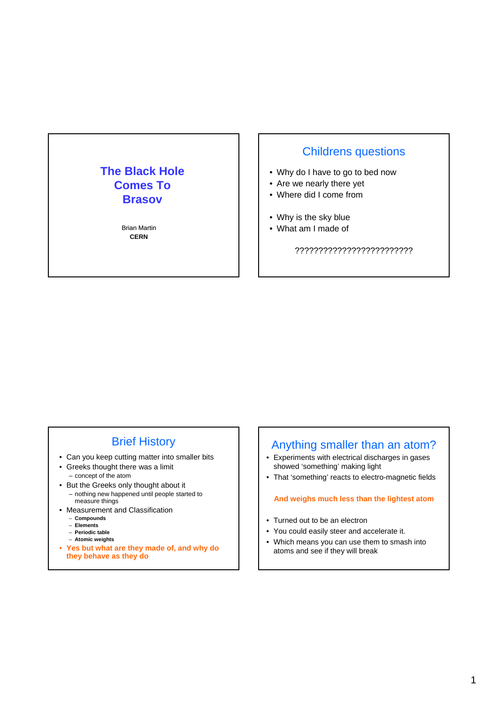## **The Black Hole Comes To Brasov**

Brian Martin **CERN** 

### Childrens questions

- Why do I have to go to bed now
- Are we nearly there yet
- Where did I come from
- Why is the sky blue
- What am I made of

?????????????????????????

### Brief History

- Can you keep cutting matter into smaller bits
- Greeks thought there was a limit – concept of the atom
- But the Greeks only thought about it – nothing new happened until people started to measure things
- Measurement and Classification
	- **Compounds**
	- **Elements**
	- **Periodic table**
	- **Atomic weights**
- **Yes but what are they made of, and why do they behave as they do**

### Anything smaller than an atom?

- Experiments with electrical discharges in gases showed 'something' making light
- That 'something' reacts to electro-magnetic fields

### **And weighs much less than the lightest atom**

- Turned out to be an electron
- You could easily steer and accelerate it.
- Which means you can use them to smash into atoms and see if they will break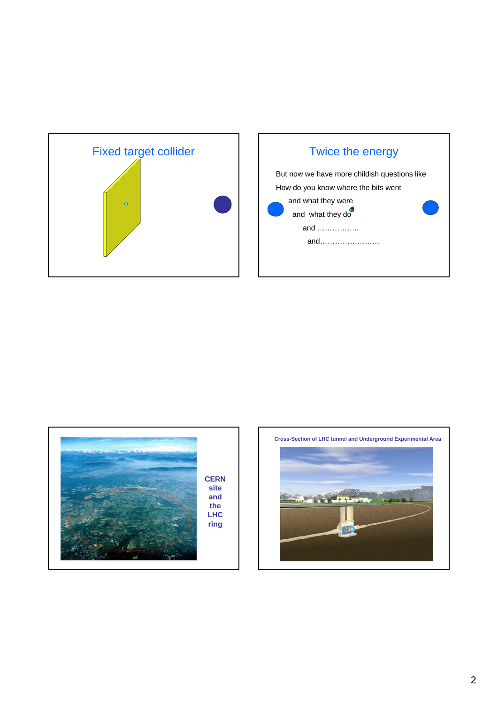





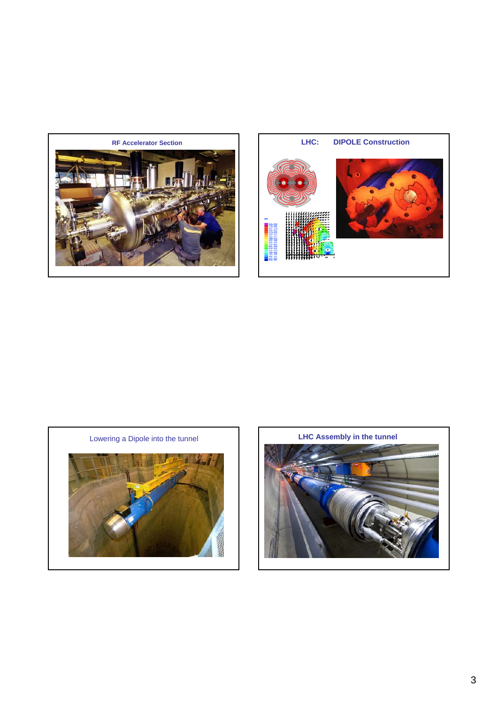





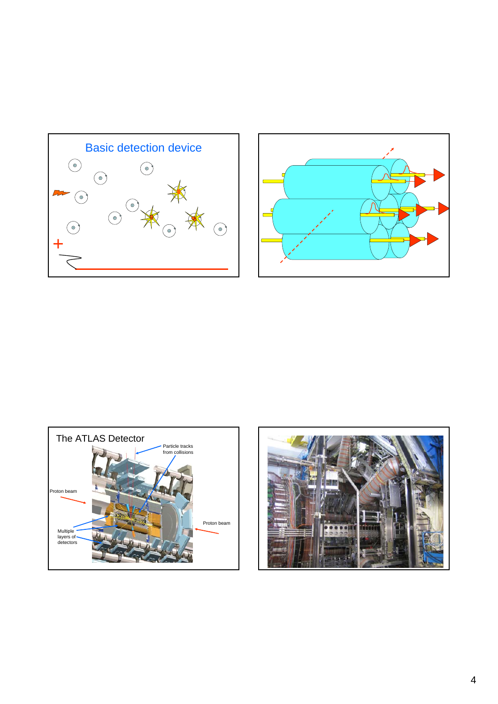





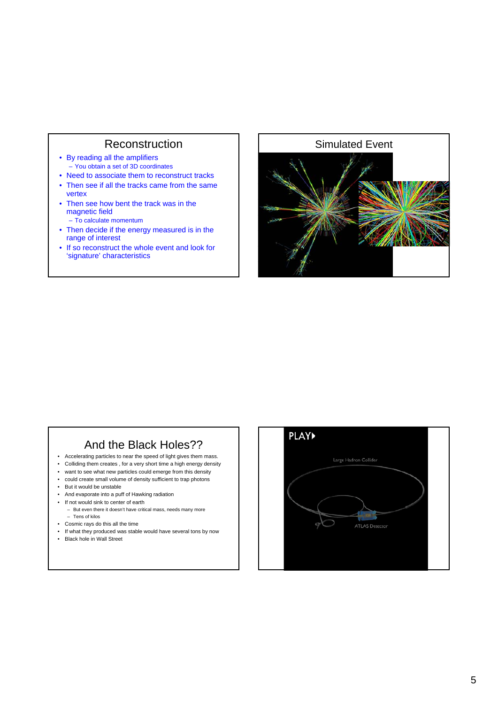### **Reconstruction**

- By reading all the amplifiers – You obtain a set of 3D coordinates
- Need to associate them to reconstruct tracks
- Then see if all the tracks came from the same vertex
- Then see how bent the track was in the magnetic field – To calculate momentum
	-
- Then decide if the energy measured is in the range of interest
- If so reconstruct the whole event and look for 'signature' characteristics

# Simulated Event

### And the Black Holes??

- Accelerating particles to near the speed of light gives them mass.
- Colliding them creates , for a very short time a high energy density
- want to see what new particles could emerge from this density
- could create small volume of density sufficient to trap photons
- But it would be unstable
- And evaporate into a puff of Hawking radiation
- If not would sink to center of earth
- But even there it doesn't have critical mass, needs many more – Tens of kilos
- Cosmic rays do this all the time
- If what they produced was stable would have several tons by now
- Black hole in Wall Street

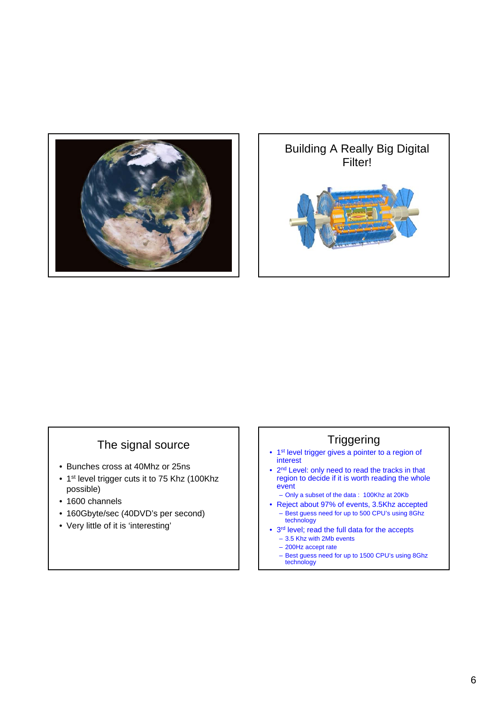



### The signal source

- Bunches cross at 40Mhz or 25ns
- 1<sup>st</sup> level trigger cuts it to 75 Khz (100Khz possible)
- 1600 channels
- 160Gbyte/sec (40DVD's per second)
- Very little of it is 'interesting'

## **Triggering**

- 1st level trigger gives a pointer to a region of interest
- 2nd Level: only need to read the tracks in that region to decide if it is worth reading the whole event
	- Only a subset of the data : 100Khz at 20Kb
- Reject about 97% of events, 3.5Khz accepted – Best guess need for up to 500 CPU's using 8Ghz technology
- 3rd level; read the full data for the accepts – 3.5 Khz with 2Mb events
	- 200Hz accept rate
	- Best guess need for up to 1500 CPU's using 8Ghz technology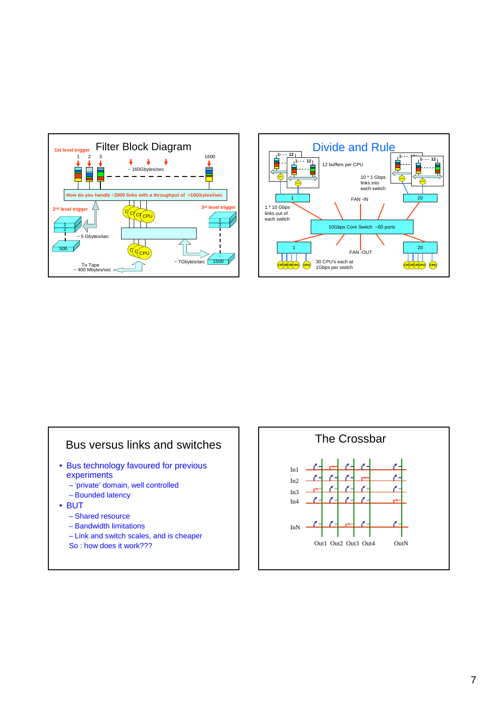



### Bus versus links and switches

- Bus technology favoured for previous experiments
	- 'private' domain, well controlled
	- Bounded latency
- BUT
	- Shared resource
	- Bandwidth limitations
	- Link and switch scales, and is cheaper
	- So : how does it work???

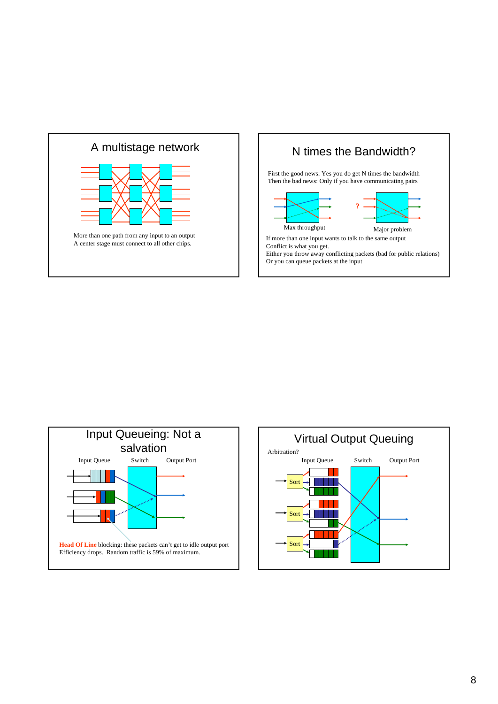





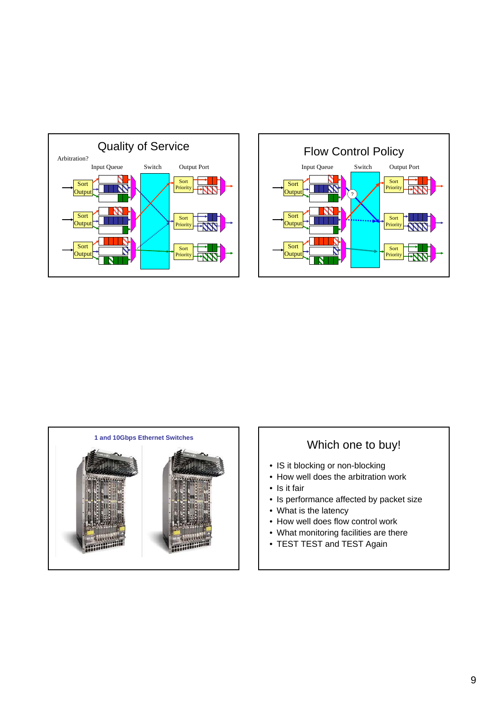





### Which one to buy!

- IS it blocking or non-blocking
- How well does the arbitration work
- Is it fair
- Is performance affected by packet size
- What is the latency
- How well does flow control work
- What monitoring facilities are there
- TEST TEST and TEST Again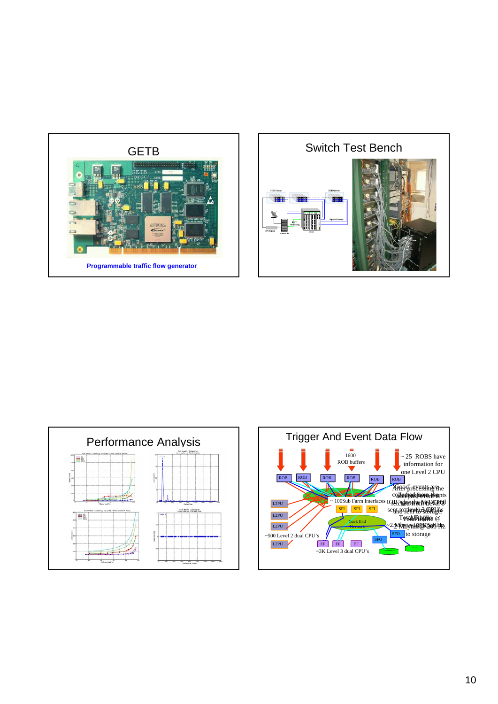





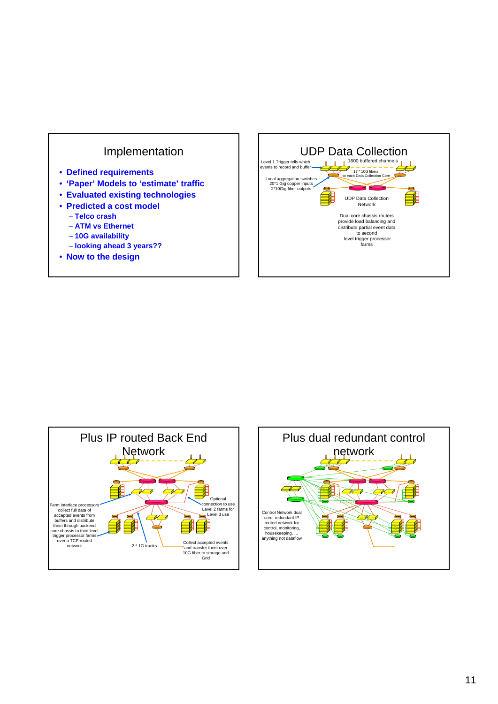

- **Defined requirements**
- **'Paper' Models to 'estimate' traffic**
- **Evaluated existing technologies**
- **Predicted a cost model**
	- **Telco crash**
	- **ATM vs Ethernet**
	- **10G availability**
	- **looking ahead 3 years??**
- **Now to the design**





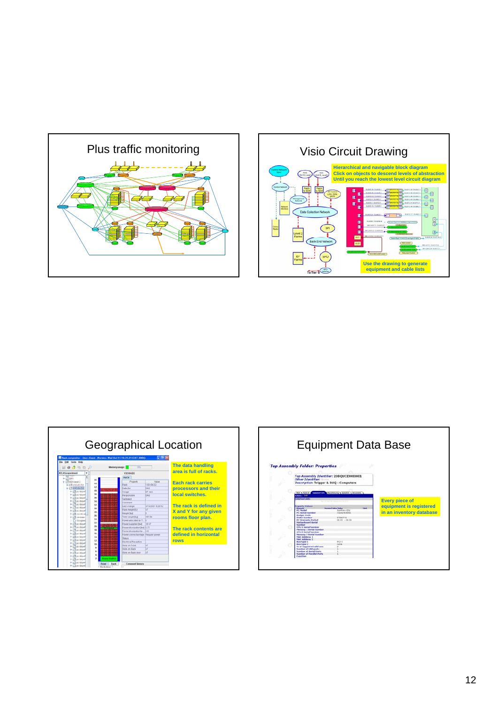





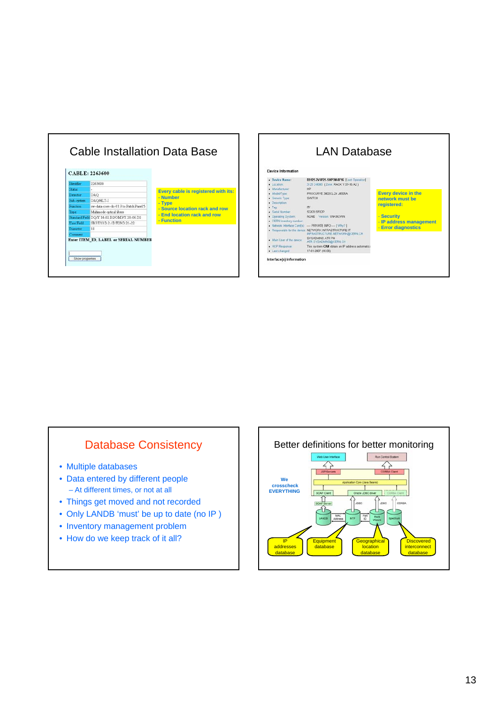



### Database Consistency

- Multiple databases
- Data entered by different people – At different times, or not at all
- Things get moved and not recorded
- Only LANDB 'must' be up to date (no IP )
- Inventory management problem
- How do we keep track of it all?

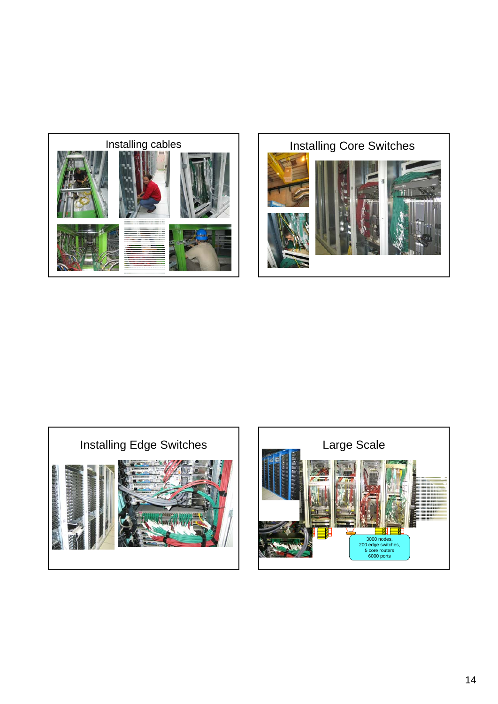